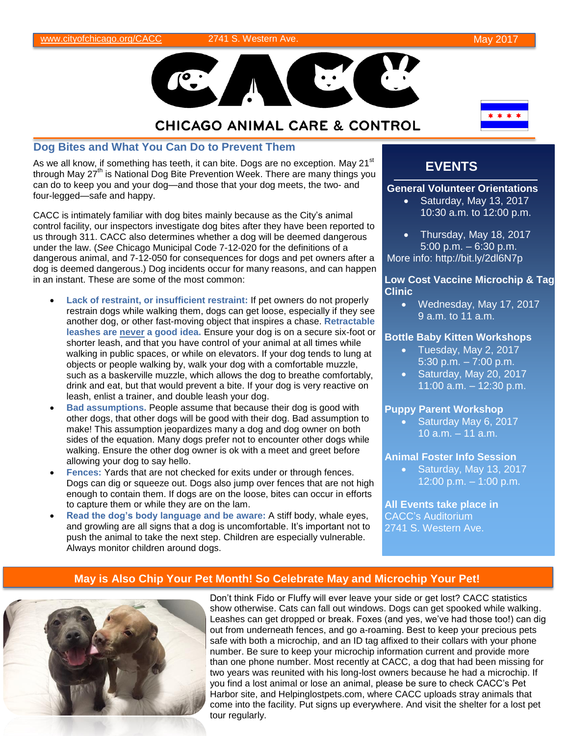

# **CHICAGO ANIMAL CARE & CONTROL**

#### **Dog Bites and What You Can Do to Prevent Them**

As we all know, if something has teeth, it can bite. Dogs are no exception. May  $21^{st}$ through May  $27<sup>th</sup>$  is National Dog Bite Prevention Week. There are many things you can do to keep you and your dog—and those that your dog meets, the two- and four-legged—safe and happy.

CACC is intimately familiar with dog bites mainly because as the City's animal control facility, our inspectors investigate dog bites after they have been reported to us through 311. CACC also determines whether a dog will be deemed dangerous under the law. (*See* Chicago Municipal Code 7-12-020 for the definitions of a dangerous animal, and 7-12-050 for consequences for dogs and pet owners after a dog is deemed dangerous.) Dog incidents occur for many reasons, and can happen in an instant. These are some of the most common:

- **Lack of restraint, or insufficient restraint:** If pet owners do not properly restrain dogs while walking them, dogs can get loose, especially if they see another dog, or other fast-moving object that inspires a chase. **Retractable leashes are never a good idea.** Ensure your dog is on a secure six-foot or shorter leash, and that you have control of your animal at all times while walking in public spaces, or while on elevators. If your dog tends to lung at objects or people walking by, walk your dog with a comfortable muzzle, such as a baskerville muzzle, which allows the dog to breathe comfortably, drink and eat, but that would prevent a bite. If your dog is very reactive on leash, enlist a trainer, and double leash your dog.
- **Bad assumptions.** People assume that because their dog is good with other dogs, that other dogs will be good with their dog. Bad assumption to make! This assumption jeopardizes many a dog and dog owner on both sides of the equation. Many dogs prefer not to encounter other dogs while walking. Ensure the other dog owner is ok with a meet and greet before allowing your dog to say hello.
- **Fences:** Yards that are not checked for exits under or through fences. Dogs can dig or squeeze out. Dogs also jump over fences that are not high enough to contain them. If dogs are on the loose, bites can occur in efforts to capture them or while they are on the lam.
- **Read the dog's body language and be aware:** A stiff body, whale eyes, and growling are all signs that a dog is uncomfortable. It's important not to push the animal to take the next step. Children are especially vulnerable. Always monitor children around dogs.

## **EVENTS**

#### **General Volunteer Orientations**

- Saturday, May 13, 2017 10:30 a.m. to 12:00 p.m.
- Thursday, May 18, 2017 5:00 p.m. – 6:30 p.m. More info: http://bit.ly/2dl6N7p

#### **Low Cost Vaccine Microchip & Tag Clinic**

 Wednesday, May 17, 2017 9 a.m. to 11 a.m.

#### **Bottle Baby Kitten Workshops**

- Tuesday, May 2, 2017 5:30 p.m. – 7:00 p.m.
- $\bullet$  Saturday, May 20, 2017 11:00 a.m. – 12:30 p.m.

#### **Puppy Parent Workshop**

**Saturday May 6, 2017** 10 a.m. – 11 a.m.

#### **Animal Foster Info Session**

• Saturday, May 13, 2017 12:00 p.m. – 1:00 p.m.

**All Events take place in** CACC's Auditorium 2741 S. Western Ave.

### **May is Also Chip Your Pet Month! So Celebrate May and Microchip Your Pet!**



Don't think Fido or Fluffy will ever leave your side or get lost? CACC statistics show otherwise. Cats can fall out windows. Dogs can get spooked while walking. Leashes can get dropped or break. Foxes (and yes, we've had those too!) can dig out from underneath fences, and go a-roaming. Best to keep your precious pets safe with both a microchip, and an ID tag affixed to their collars with your phone number. Be sure to keep your microchip information current and provide more than one phone number. Most recently at CACC, a dog that had been missing for two years was reunited with his long-lost owners because he had a microchip. If you find a lost animal or lose an animal, please be sure to check CACC's Pet Harbor site, and Helpinglostpets.com, where CACC uploads stray animals that come into the facility. Put signs up everywhere. And visit the shelter for a lost pet tour regularly.